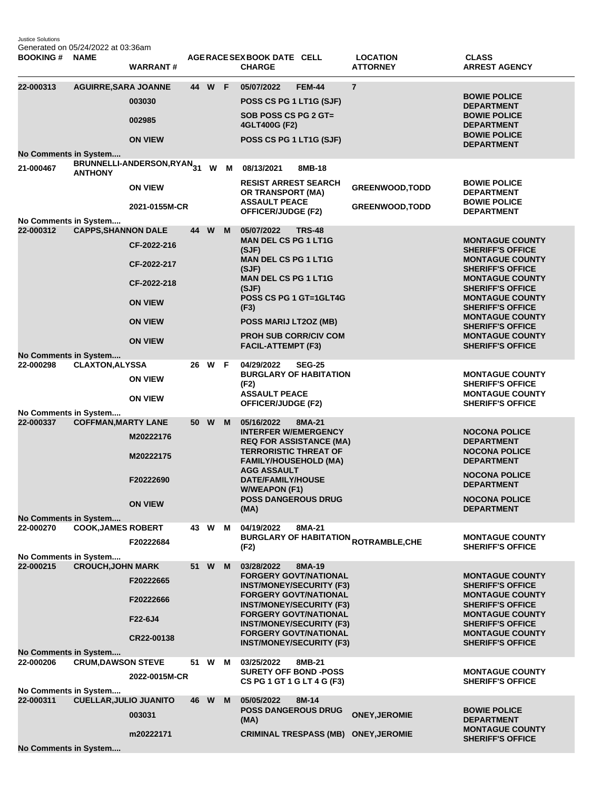Justice Solutions Generated on 05/24/2022 at 03:36am

| <b>BOOKING#</b>                           | <b>NAME</b>                   | <b>WARRANT#</b>                                                                                 |    |        |     | AGERACE SEX BOOK DATE CELL<br><b>CHARGE</b>                                                                                                                                                                                                                                            |               | <b>LOCATION</b><br><b>ATTORNEY</b>                     | <b>CLASS</b><br><b>ARREST AGENCY</b>                                                                                                                                                                                                                                                                                       |
|-------------------------------------------|-------------------------------|-------------------------------------------------------------------------------------------------|----|--------|-----|----------------------------------------------------------------------------------------------------------------------------------------------------------------------------------------------------------------------------------------------------------------------------------------|---------------|--------------------------------------------------------|----------------------------------------------------------------------------------------------------------------------------------------------------------------------------------------------------------------------------------------------------------------------------------------------------------------------------|
| 22-000313<br>No Comments in System        | <b>AGUIRRE, SARA JOANNE</b>   | 003030<br>002985<br><b>ON VIEW</b>                                                              |    | 44 W F |     | 05/07/2022<br>POSS CS PG 1 LT1G (SJF)<br>SOB POSS CS PG 2 GT=<br>4GLT400G (F2)<br>POSS CS PG 1 LT1G (SJF)                                                                                                                                                                              | <b>FEM-44</b> | $\overline{7}$                                         | <b>BOWIE POLICE</b><br><b>DEPARTMENT</b><br><b>BOWIE POLICE</b><br><b>DEPARTMENT</b><br><b>BOWIE POLICE</b><br><b>DEPARTMENT</b>                                                                                                                                                                                           |
| 21-000467                                 | <b>ANTHONY</b>                | BRUNNELLI-ANDERSON,RYAN31<br><b>ON VIEW</b><br>2021-0155M-CR                                    |    |        | W M | 08/13/2021<br><b>RESIST ARREST SEARCH</b><br>OR TRANSPORT (MA)<br><b>ASSAULT PEACE</b><br>OFFICER/JUDGE (F2)                                                                                                                                                                           | 8MB-18        | <b>GREENWOOD, TODD</b><br><b>GREENWOOD, TODD</b>       | <b>BOWIE POLICE</b><br><b>DEPARTMENT</b><br><b>BOWIE POLICE</b><br><b>DEPARTMENT</b>                                                                                                                                                                                                                                       |
| No Comments in System<br>22-000312        | <b>CAPPS, SHANNON DALE</b>    | CF-2022-216<br>CF-2022-217<br>CF-2022-218<br><b>ON VIEW</b><br><b>ON VIEW</b><br><b>ON VIEW</b> |    | 44 W   | M   | 05/07/2022<br><b>MAN DEL CS PG 1 LT1G</b><br>(SJF)<br><b>MAN DEL CS PG 1 LT1G</b><br>(SJF)<br><b>MAN DEL CS PG 1 LT1G</b><br>(SJF)<br>POSS CS PG 1 GT=1GLT4G<br>(F3)<br>POSS MARIJ LT2OZ (MB)<br><b>PROH SUB CORR/CIV COM</b><br><b>FACIL-ATTEMPT (F3)</b>                             | <b>TRS-48</b> |                                                        | <b>MONTAGUE COUNTY</b><br><b>SHERIFF'S OFFICE</b><br><b>MONTAGUE COUNTY</b><br><b>SHERIFF'S OFFICE</b><br><b>MONTAGUE COUNTY</b><br><b>SHERIFF'S OFFICE</b><br><b>MONTAGUE COUNTY</b><br><b>SHERIFF'S OFFICE</b><br><b>MONTAGUE COUNTY</b><br><b>SHERIFF'S OFFICE</b><br><b>MONTAGUE COUNTY</b><br><b>SHERIFF'S OFFICE</b> |
| No Comments in System<br>22-000298        | <b>CLAXTON, ALYSSA</b>        | <b>ON VIEW</b><br><b>ON VIEW</b>                                                                | 26 | W      | -F  | 04/29/2022<br><b>BURGLARY OF HABITATION</b><br>(F2)<br><b>ASSAULT PEACE</b><br>OFFICER/JUDGE (F2)                                                                                                                                                                                      | <b>SEG-25</b> |                                                        | <b>MONTAGUE COUNTY</b><br><b>SHERIFF'S OFFICE</b><br><b>MONTAGUE COUNTY</b><br><b>SHERIFF'S OFFICE</b>                                                                                                                                                                                                                     |
| No Comments in System<br>22-000337        | <b>COFFMAN, MARTY LANE</b>    | M20222176<br>M20222175<br>F20222690<br><b>ON VIEW</b>                                           |    | 50 W   | M   | 05/16/2022<br><b>INTERFER W/EMERGENCY</b><br><b>REQ FOR ASSISTANCE (MA)</b><br><b>TERRORISTIC THREAT OF</b><br><b>FAMILY/HOUSEHOLD (MA)</b><br><b>AGG ASSAULT</b><br>DATE/FAMILY/HOUSE<br><b>W/WEAPON (F1)</b><br><b>POSS DANGEROUS DRUG</b><br>(MA)                                   | 8MA-21        |                                                        | <b>NOCONA POLICE</b><br><b>DEPARTMENT</b><br><b>NOCONA POLICE</b><br><b>DEPARTMENT</b><br><b>NOCONA POLICE</b><br><b>DEPARTMENT</b><br><b>NOCONA POLICE</b><br><b>DEPARTMENT</b>                                                                                                                                           |
| <b>No Comments in System</b><br>22-000270 | <b>COOK, JAMES ROBERT</b>     | F20222684                                                                                       |    | 43 W   | м   | 04/19/2022<br>(F2)                                                                                                                                                                                                                                                                     | 8MA-21        | <b>BURGLARY OF HABITATION <sub>ROTRAMBLE,CHE</sub></b> | <b>MONTAGUE COUNTY</b><br><b>SHERIFF'S OFFICE</b>                                                                                                                                                                                                                                                                          |
| No Comments in System<br>22-000215        | <b>CROUCH, JOHN MARK</b>      | F20222665<br>F20222666<br>F22-6J4<br>CR22-00138                                                 | 51 | W      | M   | 03/28/2022<br><b>FORGERY GOVT/NATIONAL</b><br><b>INST/MONEY/SECURITY (F3)</b><br><b>FORGERY GOVT/NATIONAL</b><br><b>INST/MONEY/SECURITY (F3)</b><br><b>FORGERY GOVT/NATIONAL</b><br><b>INST/MONEY/SECURITY (F3)</b><br><b>FORGERY GOVT/NATIONAL</b><br><b>INST/MONEY/SECURITY (F3)</b> | 8MA-19        |                                                        | <b>MONTAGUE COUNTY</b><br><b>SHERIFF'S OFFICE</b><br><b>MONTAGUE COUNTY</b><br><b>SHERIFF'S OFFICE</b><br><b>MONTAGUE COUNTY</b><br><b>SHERIFF'S OFFICE</b><br><b>MONTAGUE COUNTY</b><br><b>SHERIFF'S OFFICE</b>                                                                                                           |
| No Comments in System<br>22-000206        | <b>CRUM, DAWSON STEVE</b>     | 2022-0015M-CR                                                                                   | 51 | W      | м   | 03/25/2022<br><b>SURETY OFF BOND -POSS</b><br>CS PG 1 GT 1 G LT 4 G (F3)                                                                                                                                                                                                               | 8MB-21        |                                                        | <b>MONTAGUE COUNTY</b><br><b>SHERIFF'S OFFICE</b>                                                                                                                                                                                                                                                                          |
| No Comments in System<br>22-000311        | <b>CUELLAR, JULIO JUANITO</b> | 003031<br>m20222171                                                                             | 46 | W      | M   | 05/05/2022<br><b>POSS DANGEROUS DRUG</b><br>(MA)<br><b>CRIMINAL TRESPASS (MB)</b>                                                                                                                                                                                                      | 8M-14         | <b>ONEY, JEROMIE</b><br><b>ONEY, JEROMIE</b>           | <b>BOWIE POLICE</b><br><b>DEPARTMENT</b><br><b>MONTAGUE COUNTY</b><br><b>SHERIFF'S OFFICE</b>                                                                                                                                                                                                                              |
|                                           | No Comments in System         |                                                                                                 |    |        |     |                                                                                                                                                                                                                                                                                        |               |                                                        |                                                                                                                                                                                                                                                                                                                            |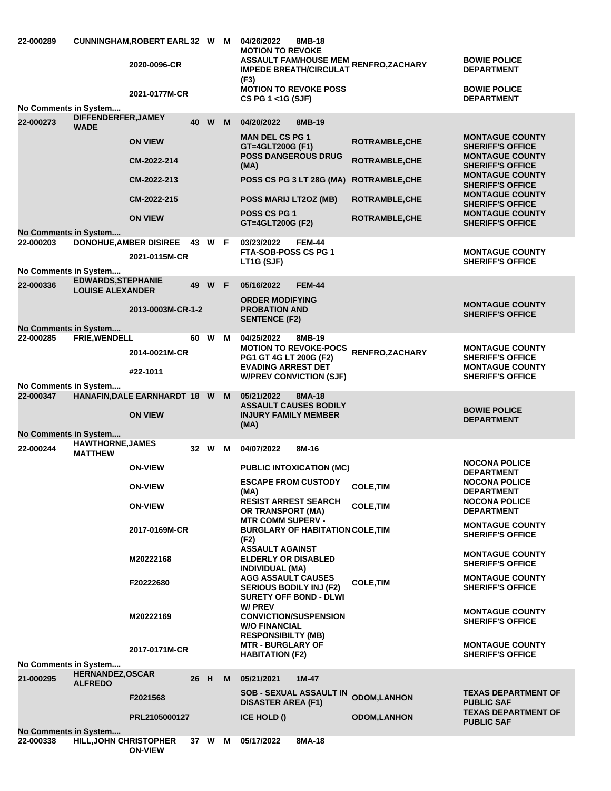| 22-000289             |                                           | CUNNINGHAM, ROBERT EARL 32 W M<br>2020-0096-CR<br>2021-0177M-CR |      |        |   | 04/26/2022<br><b>MOTION TO REVOKE</b><br>(F3)<br>CS PG 1 <1G (SJF) | 8MB-18<br><b>IMPEDE BREATH/CIRCULAT</b><br><b>MOTION TO REVOKE POSS</b> | ASSAULT FAM/HOUSE MEM RENFRO,ZACHARY           | <b>BOWIE POLICE</b><br><b>DEPARTMENT</b><br><b>BOWIE POLICE</b><br><b>DEPARTMENT</b> |
|-----------------------|-------------------------------------------|-----------------------------------------------------------------|------|--------|---|--------------------------------------------------------------------|-------------------------------------------------------------------------|------------------------------------------------|--------------------------------------------------------------------------------------|
| No Comments in System | DIFFENDERFER, JAMEY                       |                                                                 |      |        |   |                                                                    |                                                                         |                                                |                                                                                      |
| 22-000273             | <b>WADE</b>                               |                                                                 |      | 40 W M |   | 04/20/2022<br><b>MAN DEL CS PG 1</b>                               | 8MB-19                                                                  |                                                | <b>MONTAGUE COUNTY</b>                                                               |
|                       |                                           | <b>ON VIEW</b><br>CM-2022-214                                   |      |        |   | GT=4GLT200G (F1)<br><b>POSS DANGEROUS DRUG</b>                     |                                                                         | <b>ROTRAMBLE, CHE</b><br><b>ROTRAMBLE, CHE</b> | <b>SHERIFF'S OFFICE</b><br><b>MONTAGUE COUNTY</b>                                    |
|                       |                                           | CM-2022-213                                                     |      |        |   | (MA)                                                               | <b>POSS CS PG 3 LT 28G (MA)</b>                                         | <b>ROTRAMBLE, CHE</b>                          | <b>SHERIFF'S OFFICE</b><br><b>MONTAGUE COUNTY</b>                                    |
|                       |                                           | CM-2022-215                                                     |      |        |   | POSS MARIJ LT2OZ (MB)                                              |                                                                         | <b>ROTRAMBLE, CHE</b>                          | <b>SHERIFF'S OFFICE</b><br><b>MONTAGUE COUNTY</b>                                    |
|                       |                                           | <b>ON VIEW</b>                                                  |      |        |   | <b>POSS CS PG 1</b>                                                |                                                                         | <b>ROTRAMBLE, CHE</b>                          | <b>SHERIFF'S OFFICE</b><br><b>MONTAGUE COUNTY</b>                                    |
| No Comments in System |                                           |                                                                 |      |        |   | GT=4GLT200G (F2)                                                   |                                                                         |                                                | <b>SHERIFF'S OFFICE</b>                                                              |
| 22-000203             |                                           | DONOHUE, AMBER DISIREE 43 W F                                   |      |        |   | 03/23/2022<br><b>FTA-SOB-POSS CS PG 1</b>                          | FEM-44                                                                  |                                                |                                                                                      |
|                       |                                           | 2021-0115M-CR                                                   |      |        |   | LT1G (SJF)                                                         |                                                                         |                                                | <b>MONTAGUE COUNTY</b><br><b>SHERIFF'S OFFICE</b>                                    |
| No Comments in System | <b>EDWARDS, STEPHANIE</b>                 |                                                                 |      |        |   |                                                                    |                                                                         |                                                |                                                                                      |
| 22-000336             | <b>LOUISE ALEXANDER</b>                   |                                                                 |      | 49 W F |   | 05/16/2022                                                         | <b>FEM-44</b>                                                           |                                                |                                                                                      |
|                       |                                           | 2013-0003M-CR-1-2                                               |      |        |   | <b>ORDER MODIFYING</b><br><b>PROBATION AND</b>                     |                                                                         |                                                | <b>MONTAGUE COUNTY</b><br><b>SHERIFF'S OFFICE</b>                                    |
| No Comments in System |                                           |                                                                 |      |        |   | <b>SENTENCE (F2)</b>                                               |                                                                         |                                                |                                                                                      |
| 22-000285             | FRIE, WENDELL                             |                                                                 |      | 60 W M |   | 04/25/2022                                                         | 8MB-19                                                                  |                                                |                                                                                      |
|                       |                                           | 2014-0021M-CR                                                   |      |        |   | PG1 GT 4G LT 200G (F2)                                             | <b>MOTION TO REVOKE-POCS</b>                                            | RENFRO, ZACHARY                                | <b>MONTAGUE COUNTY</b><br><b>SHERIFF'S OFFICE</b>                                    |
|                       |                                           | #22-1011                                                        |      |        |   | <b>EVADING ARREST DET</b><br><b>W/PREV CONVICTION (SJF)</b>        |                                                                         |                                                | <b>MONTAGUE COUNTY</b><br><b>SHERIFF'S OFFICE</b>                                    |
| No Comments in System |                                           |                                                                 |      |        |   |                                                                    |                                                                         |                                                |                                                                                      |
| 22-000347             |                                           | HANAFIN, DALE EARNHARDT 18 W M                                  |      |        |   | 05/21/2022                                                         | 8MA-18<br><b>ASSAULT CAUSES BODILY</b>                                  |                                                |                                                                                      |
|                       |                                           | <b>ON VIEW</b>                                                  |      |        |   | <b>INJURY FAMILY MEMBER</b>                                        |                                                                         |                                                | <b>BOWIE POLICE</b><br><b>DEPARTMENT</b>                                             |
| No Comments in System |                                           |                                                                 |      |        |   | (MA)                                                               |                                                                         |                                                |                                                                                      |
| 22-000244             | <b>HAWTHORNE, JAMES</b><br><b>MATTHEW</b> |                                                                 |      | 32 W M |   | 04/07/2022                                                         | 8M-16                                                                   |                                                |                                                                                      |
|                       |                                           | <b>ON-VIEW</b>                                                  |      |        |   |                                                                    | <b>PUBLIC INTOXICATION (MC)</b>                                         |                                                | <b>NOCONA POLICE</b><br><b>DEPARTMENT</b>                                            |
|                       |                                           | <b>ON-VIEW</b>                                                  |      |        |   | <b>ESCAPE FROM CUSTODY</b>                                         |                                                                         | <b>COLE, TIM</b>                               | <b>NOCONA POLICE</b>                                                                 |
|                       |                                           |                                                                 |      |        |   | (MA)<br><b>RESIST ARREST SEARCH</b>                                |                                                                         |                                                | <b>DEPARTMENT</b><br><b>NOCONA POLICE</b>                                            |
|                       |                                           | <b>ON-VIEW</b>                                                  |      |        |   | OR TRANSPORT (MA)                                                  |                                                                         | <b>COLE, TIM</b>                               | <b>DEPARTMENT</b>                                                                    |
|                       |                                           | 2017-0169M-CR                                                   |      |        |   | <b>MTR COMM SUPERV -</b>                                           | <b>BURGLARY OF HABITATION COLE, TIM</b>                                 |                                                | <b>MONTAGUE COUNTY</b><br><b>SHERIFF'S OFFICE</b>                                    |
|                       |                                           |                                                                 |      |        |   | (F2)<br><b>ASSAULT AGAINST</b>                                     |                                                                         |                                                |                                                                                      |
|                       |                                           | M20222168                                                       |      |        |   | <b>ELDERLY OR DISABLED</b>                                         |                                                                         |                                                | <b>MONTAGUE COUNTY</b><br><b>SHERIFF'S OFFICE</b>                                    |
|                       |                                           |                                                                 |      |        |   | <b>INDIVIDUAL (MA)</b><br><b>AGG ASSAULT CAUSES</b>                |                                                                         |                                                | <b>MONTAGUE COUNTY</b>                                                               |
|                       |                                           | F20222680                                                       |      |        |   | <b>SERIOUS BODILY INJ (F2)</b><br><b>SURETY OFF BOND - DLWI</b>    |                                                                         | <b>COLE, TIM</b>                               | <b>SHERIFF'S OFFICE</b>                                                              |
|                       |                                           |                                                                 |      |        |   | <b>W/ PREV</b>                                                     |                                                                         |                                                | <b>MONTAGUE COUNTY</b>                                                               |
|                       |                                           | M20222169                                                       |      |        |   | <b>CONVICTION/SUSPENSION</b><br><b>W/O FINANCIAL</b>               |                                                                         |                                                | <b>SHERIFF'S OFFICE</b>                                                              |
|                       |                                           |                                                                 |      |        |   | <b>RESPONSIBILTY (MB)</b>                                          |                                                                         |                                                |                                                                                      |
|                       |                                           | 2017-0171M-CR                                                   |      |        |   | <b>MTR - BURGLARY OF</b><br><b>HABITATION (F2)</b>                 |                                                                         |                                                | <b>MONTAGUE COUNTY</b><br><b>SHERIFF'S OFFICE</b>                                    |
| No Comments in System | <b>HERNANDEZ, OSCAR</b>                   |                                                                 |      |        |   |                                                                    |                                                                         |                                                |                                                                                      |
| 21-000295             | <b>ALFREDO</b>                            |                                                                 | 26 H |        | M | 05/21/2021                                                         | $1M-47$                                                                 |                                                |                                                                                      |
|                       |                                           | F2021568                                                        |      |        |   | <b>DISASTER AREA (F1)</b>                                          | <b>SOB - SEXUAL ASSAULT IN</b>                                          | <b>ODOM,LANHON</b>                             | <b>TEXAS DEPARTMENT OF</b><br><b>PUBLIC SAF</b>                                      |
|                       |                                           | PRL2105000127                                                   |      |        |   | <b>ICE HOLD ()</b>                                                 |                                                                         | <b>ODOM, LANHON</b>                            | <b>TEXAS DEPARTMENT OF</b><br><b>PUBLIC SAF</b>                                      |
| No Comments in System |                                           |                                                                 |      |        |   |                                                                    |                                                                         |                                                |                                                                                      |
| 22-000338             | <b>HILL, JOHN CHRISTOPHER</b>             | <b>ON-VIEW</b>                                                  |      | 37 W   | M | 05/17/2022                                                         | 8MA-18                                                                  |                                                |                                                                                      |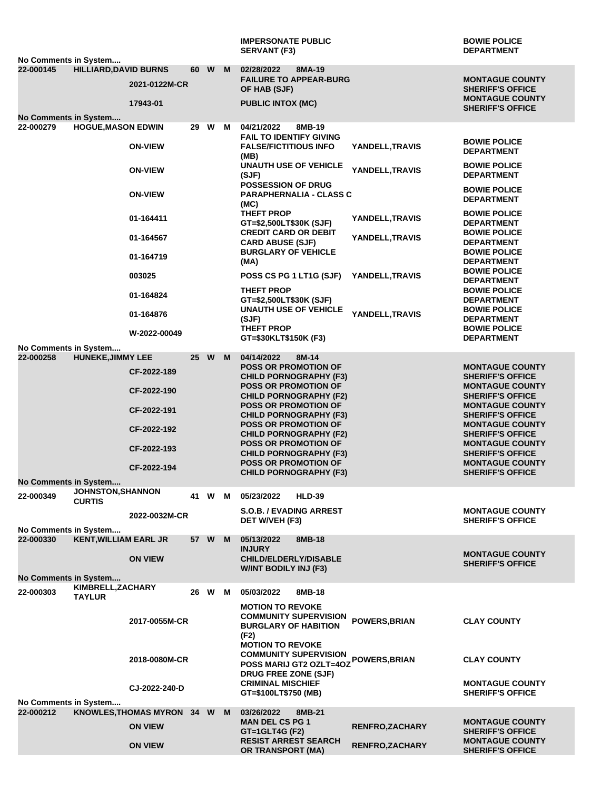|                                    |                                           |                              |  |        |  | <b>IMPERSONATE PUBLIC</b><br><b>SERVANT (F3)</b>                                                                | <b>BOWIE POLICE</b><br><b>DEPARTMENT</b>                                     |
|------------------------------------|-------------------------------------------|------------------------------|--|--------|--|-----------------------------------------------------------------------------------------------------------------|------------------------------------------------------------------------------|
| No Comments in System              |                                           |                              |  |        |  |                                                                                                                 |                                                                              |
| 22-000145                          | <b>HILLIARD, DAVID BURNS</b>              | 2021-0122M-CR                |  | 60 W M |  | 02/28/2022<br>8MA-19<br><b>FAILURE TO APPEAR-BURG</b><br>OF HAB (SJF)                                           | <b>MONTAGUE COUNTY</b><br><b>SHERIFF'S OFFICE</b>                            |
|                                    |                                           | 17943-01                     |  |        |  | <b>PUBLIC INTOX (MC)</b>                                                                                        | <b>MONTAGUE COUNTY</b><br><b>SHERIFF'S OFFICE</b>                            |
| <b>No Comments in System</b>       |                                           |                              |  |        |  |                                                                                                                 |                                                                              |
| 22-000279                          | <b>HOGUE, MASON EDWIN</b>                 |                              |  | 29 W M |  | 04/21/2022<br>8MB-19<br><b>FAIL TO IDENTIFY GIVING</b>                                                          | <b>BOWIE POLICE</b>                                                          |
|                                    |                                           | <b>ON-VIEW</b>               |  |        |  | <b>FALSE/FICTITIOUS INFO</b><br>YANDELL,TRAVIS<br>(MB)<br><b>UNAUTH USE OF VEHICLE</b>                          | <b>DEPARTMENT</b><br><b>BOWIE POLICE</b>                                     |
|                                    |                                           | <b>ON-VIEW</b>               |  |        |  | YANDELL, TRAVIS<br>(SJF)<br><b>POSSESSION OF DRUG</b>                                                           | <b>DEPARTMENT</b>                                                            |
|                                    |                                           | <b>ON-VIEW</b>               |  |        |  | <b>PARAPHERNALIA - CLASS C</b><br>(MC)                                                                          | <b>BOWIE POLICE</b><br><b>DEPARTMENT</b>                                     |
|                                    |                                           | 01-164411                    |  |        |  | THEFT PROP<br>YANDELL,TRAVIS<br>GT=\$2,500LT\$30K (SJF)                                                         | <b>BOWIE POLICE</b><br><b>DEPARTMENT</b>                                     |
|                                    |                                           | 01-164567                    |  |        |  | <b>CREDIT CARD OR DEBIT</b><br>YANDELL,TRAVIS<br><b>CARD ABUSE (SJF)</b><br><b>BURGLARY OF VEHICLE</b>          | <b>BOWIE POLICE</b><br><b>DEPARTMENT</b><br><b>BOWIE POLICE</b>              |
|                                    |                                           | 01-164719                    |  |        |  | (MA)                                                                                                            | <b>DEPARTMENT</b><br><b>BOWIE POLICE</b>                                     |
|                                    |                                           | 003025<br>01-164824          |  |        |  | POSS CS PG 1 LT1G (SJF)<br>YANDELL, TRAVIS<br><b>THEFT PROP</b>                                                 | <b>DEPARTMENT</b><br><b>BOWIE POLICE</b>                                     |
|                                    |                                           | 01-164876                    |  |        |  | GT=\$2,500LT\$30K (SJF)<br><b>UNAUTH USE OF VEHICLE</b><br>YANDELL, TRAVIS                                      | <b>DEPARTMENT</b><br><b>BOWIE POLICE</b>                                     |
|                                    |                                           | W-2022-00049                 |  |        |  | (SJF)<br><b>THEFT PROP</b><br>GT=\$30KLT\$150K (F3)                                                             | <b>DEPARTMENT</b><br><b>BOWIE POLICE</b><br><b>DEPARTMENT</b>                |
| No Comments in System              |                                           |                              |  |        |  |                                                                                                                 |                                                                              |
| 22-000258                          | <b>HUNEKE, JIMMY LEE</b>                  | CF-2022-189                  |  | 25 W M |  | 04/14/2022<br>$8M-14$<br><b>POSS OR PROMOTION OF</b>                                                            | <b>MONTAGUE COUNTY</b>                                                       |
|                                    |                                           | CF-2022-190                  |  |        |  | <b>CHILD PORNOGRAPHY (F3)</b><br><b>POSS OR PROMOTION OF</b><br><b>CHILD PORNOGRAPHY (F2)</b>                   | <b>SHERIFF'S OFFICE</b><br><b>MONTAGUE COUNTY</b><br><b>SHERIFF'S OFFICE</b> |
|                                    |                                           | CF-2022-191                  |  |        |  | <b>POSS OR PROMOTION OF</b><br><b>CHILD PORNOGRAPHY (F3)</b>                                                    | <b>MONTAGUE COUNTY</b><br><b>SHERIFF'S OFFICE</b>                            |
|                                    |                                           | CF-2022-192                  |  |        |  | <b>POSS OR PROMOTION OF</b><br><b>CHILD PORNOGRAPHY (F2)</b>                                                    | <b>MONTAGUE COUNTY</b><br><b>SHERIFF'S OFFICE</b>                            |
|                                    |                                           | CF-2022-193                  |  |        |  | <b>POSS OR PROMOTION OF</b><br><b>CHILD PORNOGRAPHY (F3)</b><br><b>POSS OR PROMOTION OF</b>                     | <b>MONTAGUE COUNTY</b><br><b>SHERIFF'S OFFICE</b><br><b>MONTAGUE COUNTY</b>  |
| No Comments in System              |                                           | CF-2022-194                  |  |        |  | <b>CHILD PORNOGRAPHY (F3)</b>                                                                                   | <b>SHERIFF'S OFFICE</b>                                                      |
| 22-000349                          | <b>JOHNSTON, SHANNON</b><br><b>CURTIS</b> |                              |  | 41 W M |  | 05/23/2022<br><b>HLD-39</b>                                                                                     |                                                                              |
| No Comments in System              |                                           | 2022-0032M-CR                |  |        |  | <b>S.O.B. / EVADING ARREST</b><br>DET W/VEH (F3)                                                                | <b>MONTAGUE COUNTY</b><br><b>SHERIFF'S OFFICE</b>                            |
| 22-000330                          | <b>KENT, WILLIAM EARL JR</b>              |                              |  | 57 W M |  | 05/13/2022<br>8MB-18<br><b>INJURY</b>                                                                           | <b>MONTAGUE COUNTY</b>                                                       |
| <b>No Comments in System</b>       |                                           | <b>ON VIEW</b>               |  |        |  | <b>CHILD/ELDERLY/DISABLE</b><br><b>W/INT BODILY INJ (F3)</b>                                                    | <b>SHERIFF'S OFFICE</b>                                                      |
|                                    | KIMBRELL, ZACHARY                         |                              |  |        |  |                                                                                                                 |                                                                              |
| 22-000303                          | <b>TAYLUR</b>                             |                              |  | 26 W M |  | 05/03/2022<br>8MB-18<br><b>MOTION TO REVOKE</b>                                                                 |                                                                              |
|                                    |                                           | 2017-0055M-CR                |  |        |  | <b>COMMUNITY SUPERVISION</b><br>POWERS, BRIAN<br><b>BURGLARY OF HABITION</b><br>(F2)<br><b>MOTION TO REVOKE</b> | <b>CLAY COUNTY</b>                                                           |
|                                    |                                           | 2018-0080M-CR                |  |        |  | <b>COMMUNITY SUPERVISION</b><br>POWERS, BRIAN<br>POSS MARIJ GT2 OZLT=40Z<br>DRUG FREE ZONE (SJF)                | <b>CLAY COUNTY</b>                                                           |
|                                    |                                           | CJ-2022-240-D                |  |        |  | <b>CRIMINAL MISCHIEF</b><br>GT=\$100LT\$750 (MB)                                                                | <b>MONTAGUE COUNTY</b><br><b>SHERIFF'S OFFICE</b>                            |
| No Comments in System<br>22-000212 |                                           | KNOWLES, THOMAS MYRON 34 W M |  |        |  | 03/26/2022<br>8MB-21                                                                                            |                                                                              |
|                                    |                                           | <b>ON VIEW</b>               |  |        |  | <b>MAN DEL CS PG 1</b><br><b>RENFRO, ZACHARY</b><br>GT=1GLT4G (F2)<br><b>RESIST ARREST SEARCH</b>               | <b>MONTAGUE COUNTY</b><br><b>SHERIFF'S OFFICE</b><br><b>MONTAGUE COUNTY</b>  |
|                                    |                                           | <b>ON VIEW</b>               |  |        |  | <b>RENFRO,ZACHARY</b><br><b>OR TRANSPORT (MA)</b>                                                               | <b>SHERIFF'S OFFICE</b>                                                      |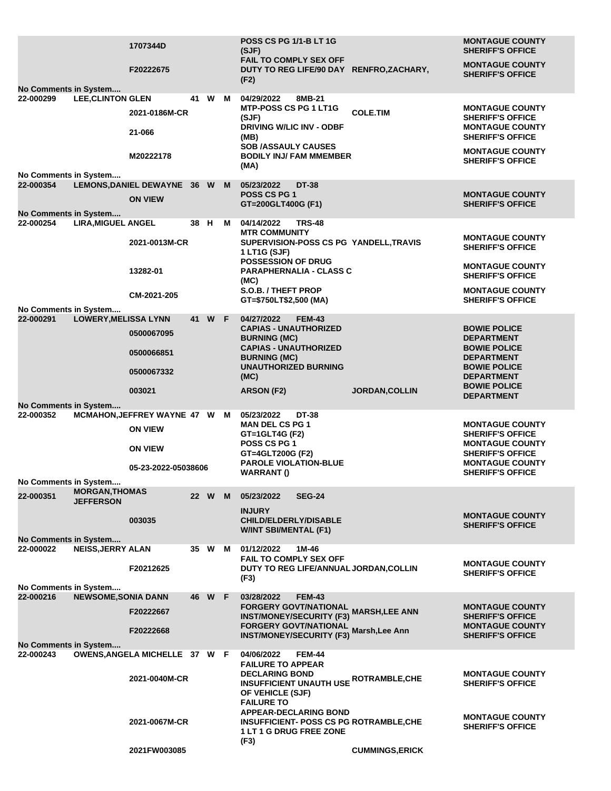|                                    |                                           | 1707344D                                        |      |        |   | <b>POSS CS PG 1/1-B LT 1G</b><br>(SJF)                                                                                  |                        | <b>MONTAGUE COUNTY</b><br><b>SHERIFF'S OFFICE</b> |
|------------------------------------|-------------------------------------------|-------------------------------------------------|------|--------|---|-------------------------------------------------------------------------------------------------------------------------|------------------------|---------------------------------------------------|
|                                    |                                           | F20222675                                       |      |        |   | FAIL TO COMPLY SEX OFF<br>DUTY TO REG LIFE/90 DAY RENFRO, ZACHARY,                                                      |                        | <b>MONTAGUE COUNTY</b><br><b>SHERIFF'S OFFICE</b> |
| No Comments in System              |                                           |                                                 |      |        |   | (F2)                                                                                                                    |                        |                                                   |
| 22-000299                          | <b>LEE, CLINTON GLEN</b>                  |                                                 |      | 41 W M |   | 04/29/2022<br>8MB-21                                                                                                    |                        |                                                   |
|                                    |                                           | 2021-0186M-CR                                   |      |        |   | <b>MTP-POSS CS PG 1 LT1G</b><br>(SJF)                                                                                   | <b>COLE.TIM</b>        | <b>MONTAGUE COUNTY</b><br><b>SHERIFF'S OFFICE</b> |
|                                    |                                           | 21-066                                          |      |        |   | DRIVING W/LIC INV - ODBF<br>(MB)<br><b>SOB /ASSAULY CAUSES</b>                                                          |                        | <b>MONTAGUE COUNTY</b><br><b>SHERIFF'S OFFICE</b> |
|                                    |                                           | M20222178                                       |      |        |   | <b>BODILY INJ/ FAM MMEMBER</b><br>(MA)                                                                                  |                        | <b>MONTAGUE COUNTY</b><br><b>SHERIFF'S OFFICE</b> |
| No Comments in System<br>22-000354 |                                           | LEMONS, DANIEL DEWAYNE 36 W M                   |      |        |   | 05/23/2022<br><b>DT-38</b>                                                                                              |                        |                                                   |
|                                    |                                           | <b>ON VIEW</b>                                  |      |        |   | <b>POSS CS PG 1</b><br>GT=200GLT400G (F1)                                                                               |                        | <b>MONTAGUE COUNTY</b><br><b>SHERIFF'S OFFICE</b> |
| No Comments in System              |                                           |                                                 |      |        |   |                                                                                                                         |                        |                                                   |
| 22-000254                          | <b>LIRA, MIGUEL ANGEL</b>                 |                                                 | 38 H |        | M | 04/14/2022<br><b>TRS-48</b><br><b>MTR COMMUNITY</b>                                                                     |                        | <b>MONTAGUE COUNTY</b>                            |
|                                    |                                           | 2021-0013M-CR                                   |      |        |   | SUPERVISION-POSS CS PG YANDELL, TRAVIS<br>1 LT1G (SJF)<br><b>POSSESSION OF DRUG</b>                                     |                        | <b>SHERIFF'S OFFICE</b>                           |
|                                    |                                           | 13282-01                                        |      |        |   | PARAPHERNALIA - CLASS C<br>(MC)                                                                                         |                        | <b>MONTAGUE COUNTY</b><br><b>SHERIFF'S OFFICE</b> |
|                                    |                                           | CM-2021-205                                     |      |        |   | S.O.B. / THEFT PROP<br>GT=\$750LT\$2,500 (MA)                                                                           |                        | <b>MONTAGUE COUNTY</b><br><b>SHERIFF'S OFFICE</b> |
| No Comments in System<br>22-000291 | <b>LOWERY, MELISSA LYNN</b>               |                                                 |      | 41 W F |   | 04/27/2022<br><b>FEM-43</b>                                                                                             |                        |                                                   |
|                                    |                                           | 0500067095                                      |      |        |   | <b>CAPIAS - UNAUTHORIZED</b><br><b>BURNING (MC)</b>                                                                     |                        | <b>BOWIE POLICE</b><br><b>DEPARTMENT</b>          |
|                                    |                                           | 0500066851                                      |      |        |   | <b>CAPIAS - UNAUTHORIZED</b><br><b>BURNING (MC)</b>                                                                     |                        | <b>BOWIE POLICE</b><br><b>DEPARTMENT</b>          |
|                                    |                                           | 0500067332                                      |      |        |   | <b>UNAUTHORIZED BURNING</b><br>(MC)                                                                                     |                        | <b>BOWIE POLICE</b><br><b>DEPARTMENT</b>          |
|                                    |                                           | 003021                                          |      |        |   | ARSON (F2)                                                                                                              | <b>JORDAN, COLLIN</b>  | <b>BOWIE POLICE</b><br><b>DEPARTMENT</b>          |
| No Comments in System              |                                           |                                                 |      |        |   |                                                                                                                         |                        |                                                   |
| 22-000352                          |                                           | MCMAHON, JEFFREY WAYNE 47 W M<br><b>ON VIEW</b> |      |        |   | <b>DT-38</b><br>05/23/2022<br><b>MAN DEL CS PG 1</b>                                                                    |                        | <b>MONTAGUE COUNTY</b>                            |
|                                    |                                           | <b>ON VIEW</b>                                  |      |        |   | GT=1GLT4G (F2)<br><b>POSS CS PG 1</b>                                                                                   |                        | <b>SHERIFF'S OFFICE</b><br><b>MONTAGUE COUNTY</b> |
|                                    |                                           | 05-23-2022-05038606                             |      |        |   | GT=4GLT200G (F2)<br><b>PAROLE VIOLATION-BLUE</b>                                                                        |                        | <b>SHERIFF'S OFFICE</b><br><b>MONTAGUE COUNTY</b> |
| No Comments in System              |                                           |                                                 |      |        |   | <b>WARRANT()</b>                                                                                                        |                        | <b>SHERIFF'S OFFICE</b>                           |
| 22-000351                          | <b>MORGAN, THOMAS</b><br><b>JEFFERSON</b> |                                                 |      | 22 W   | M | 05/23/2022<br><b>SEG-24</b>                                                                                             |                        |                                                   |
|                                    |                                           | 003035                                          |      |        |   | <b>INJURY</b><br><b>CHILD/ELDERLY/DISABLE</b>                                                                           |                        | <b>MONTAGUE COUNTY</b>                            |
|                                    |                                           |                                                 |      |        |   | <b>W/INT SBI/MENTAL (F1)</b>                                                                                            |                        | <b>SHERIFF'S OFFICE</b>                           |
| <b>No Comments in System</b>       |                                           |                                                 |      |        |   |                                                                                                                         |                        |                                                   |
| 22-000022                          | <b>NEISS, JERRY ALAN</b>                  | F20212625                                       |      | 35 W M |   | 01/12/2022<br>1M-46<br><b>FAIL TO COMPLY SEX OFF</b><br>DUTY TO REG LIFE/ANNUAL JORDAN, COLLIN                          |                        | <b>MONTAGUE COUNTY</b>                            |
|                                    |                                           |                                                 |      |        |   | (F3)                                                                                                                    |                        | <b>SHERIFF'S OFFICE</b>                           |
| No Comments in System              |                                           |                                                 |      |        |   |                                                                                                                         |                        |                                                   |
| 22-000216                          | <b>NEWSOME, SONIA DANN</b>                | F20222667                                       | 46 - | W F    |   | 03/28/2022<br><b>FEM-43</b><br><b>FORGERY GOVT/NATIONAL</b>                                                             | <b>MARSH,LEE ANN</b>   | <b>MONTAGUE COUNTY</b>                            |
|                                    |                                           | F20222668                                       |      |        |   | <b>INST/MONEY/SECURITY (F3)</b><br><b>FORGERY GOVT/NATIONAL</b>                                                         | Marsh, Lee Ann         | <b>SHERIFF'S OFFICE</b><br><b>MONTAGUE COUNTY</b> |
|                                    |                                           |                                                 |      |        |   | <b>INST/MONEY/SECURITY (F3)</b>                                                                                         |                        | <b>SHERIFF'S OFFICE</b>                           |
| No Comments in System<br>22-000243 |                                           | OWENS, ANGELA MICHELLE 37 W F                   |      |        |   | 04/06/2022<br><b>FEM-44</b><br><b>FAILURE TO APPEAR</b>                                                                 |                        |                                                   |
|                                    |                                           | 2021-0040M-CR                                   |      |        |   | <b>DECLARING BOND</b><br><b>INSUFFICIENT UNAUTH USE ROTRAMBLE, CHE</b><br>OF VEHICLE (SJF)<br><b>FAILURE TO</b>         |                        | <b>MONTAGUE COUNTY</b><br><b>SHERIFF'S OFFICE</b> |
|                                    |                                           | 2021-0067M-CR                                   |      |        |   | <b>APPEAR-DECLARING BOND</b><br><b>INSUFFICIENT- POSS CS PG ROTRAMBLE,CHE</b><br><b>1 LT 1 G DRUG FREE ZONE</b><br>(F3) |                        | <b>MONTAGUE COUNTY</b><br><b>SHERIFF'S OFFICE</b> |
|                                    |                                           | 2021FW003085                                    |      |        |   |                                                                                                                         | <b>CUMMINGS, ERICK</b> |                                                   |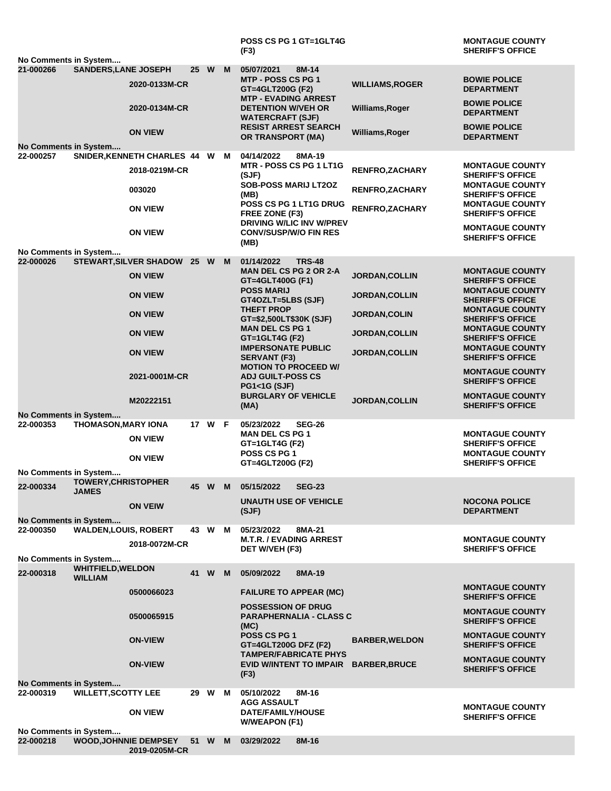|                                           |                              |                              |      |        |          | <b>POSS CS PG 1 GT=1GLT4G</b><br>(F3)                                               |                                           | <b>MONTAGUE COUNTY</b><br><b>SHERIFF'S OFFICE</b>                            |
|-------------------------------------------|------------------------------|------------------------------|------|--------|----------|-------------------------------------------------------------------------------------|-------------------------------------------|------------------------------------------------------------------------------|
| No Comments in System                     |                              |                              |      |        |          |                                                                                     |                                           |                                                                              |
| 21-000266                                 | <b>SANDERS, LANE JOSEPH</b>  | 2020-0133M-CR                |      | 25 W   | M        | 05/07/2021<br>8M-14<br>MTP - POSS CS PG 1<br>GT=4GLT200G (F2)                       | <b>WILLIAMS, ROGER</b>                    | <b>BOWIE POLICE</b><br><b>DEPARTMENT</b>                                     |
|                                           |                              | 2020-0134M-CR                |      |        |          | <b>MTP - EVADING ARREST</b><br><b>DETENTION W/VEH OR</b><br><b>WATERCRAFT (SJF)</b> | Williams, Roger                           | <b>BOWIE POLICE</b><br><b>DEPARTMENT</b>                                     |
| No Comments in System                     |                              | <b>ON VIEW</b>               |      |        |          | <b>RESIST ARREST SEARCH</b><br><b>OR TRANSPORT (MA)</b>                             | Williams, Roger                           | <b>BOWIE POLICE</b><br><b>DEPARTMENT</b>                                     |
| 22-000257                                 |                              | SNIDER, KENNETH CHARLES 44 W |      |        | M        | 04/14/2022<br>8MA-19                                                                |                                           |                                                                              |
|                                           |                              | 2018-0219M-CR<br>003020      |      |        |          | <b>MTR - POSS CS PG 1 LT1G</b><br>(SJF)<br><b>SOB-POSS MARIJ LT2OZ</b>              | RENFRO, ZACHARY<br><b>RENFRO, ZACHARY</b> | <b>MONTAGUE COUNTY</b><br><b>SHERIFF'S OFFICE</b><br><b>MONTAGUE COUNTY</b>  |
|                                           |                              | <b>ON VIEW</b>               |      |        |          | (MB)<br>POSS CS PG 1 LT1G DRUG<br>FREE ZONE (F3)                                    | <b>RENFRO, ZACHARY</b>                    | <b>SHERIFF'S OFFICE</b><br><b>MONTAGUE COUNTY</b><br><b>SHERIFF'S OFFICE</b> |
|                                           |                              | <b>ON VIEW</b>               |      |        |          | DRIVING W/LIC INV W/PREV<br><b>CONV/SUSP/W/O FIN RES</b>                            |                                           | <b>MONTAGUE COUNTY</b><br><b>SHERIFF'S OFFICE</b>                            |
|                                           |                              |                              |      |        |          | (MB)                                                                                |                                           |                                                                              |
| No Comments in System<br>22-000026        |                              | STEWART, SILVER SHADOW 25 W  |      |        | <b>M</b> | 01/14/2022<br><b>TRS-48</b>                                                         |                                           |                                                                              |
|                                           |                              | <b>ON VIEW</b>               |      |        |          | <b>MAN DEL CS PG 2 OR 2-A</b><br>GT=4GLT400G (F1)                                   | JORDAN, COLLIN                            | <b>MONTAGUE COUNTY</b><br><b>SHERIFF'S OFFICE</b>                            |
|                                           |                              | <b>ON VIEW</b>               |      |        |          | <b>POSS MARIJ</b><br>GT4OZLT=5LBS (SJF)<br><b>THEFT PROP</b>                        | <b>JORDAN,COLLIN</b>                      | <b>MONTAGUE COUNTY</b><br><b>SHERIFF'S OFFICE</b><br><b>MONTAGUE COUNTY</b>  |
|                                           |                              | <b>ON VIEW</b>               |      |        |          | GT=\$2,500LT\$30K (SJF)                                                             | <b>JORDAN, COLIN</b>                      | <b>SHERIFF'S OFFICE</b>                                                      |
|                                           |                              | <b>ON VIEW</b>               |      |        |          | <b>MAN DEL CS PG 1</b><br>GT=1GLT4G (F2)<br><b>IMPERSONATE PUBLIC</b>               | <b>JORDAN, COLLIN</b>                     | <b>MONTAGUE COUNTY</b><br><b>SHERIFF'S OFFICE</b><br><b>MONTAGUE COUNTY</b>  |
|                                           |                              | <b>ON VIEW</b>               |      |        |          | <b>SERVANT (F3)</b><br><b>MOTION TO PROCEED W/</b>                                  | <b>JORDAN, COLLIN</b>                     | <b>SHERIFF'S OFFICE</b><br><b>MONTAGUE COUNTY</b>                            |
|                                           |                              | 2021-0001M-CR                |      |        |          | <b>ADJ GUILT-POSS CS</b><br><b>PG1&lt;1G (SJF)</b><br><b>BURGLARY OF VEHICLE</b>    |                                           | <b>SHERIFF'S OFFICE</b><br><b>MONTAGUE COUNTY</b>                            |
|                                           |                              | M20222151                    |      |        |          | (MA)                                                                                | <b>JORDAN, COLLIN</b>                     | <b>SHERIFF'S OFFICE</b>                                                      |
| <b>No Comments in System</b><br>22-000353 | <b>THOMASON, MARY IONA</b>   |                              |      | 17 W F |          | 05/23/2022<br><b>SEG-26</b>                                                         |                                           |                                                                              |
|                                           |                              | <b>ON VIEW</b>               |      |        |          | <b>MAN DEL CS PG 1</b><br>GT=1GLT4G (F2)                                            |                                           | <b>MONTAGUE COUNTY</b><br><b>SHERIFF'S OFFICE</b>                            |
|                                           |                              | <b>ON VIEW</b>               |      |        |          | <b>POSS CS PG 1</b><br>GT=4GLT200G (F2)                                             |                                           | <b>MONTAGUE COUNTY</b><br><b>SHERIFF'S OFFICE</b>                            |
| No Comments in System                     | <b>TOWERY, CHRISTOPHER</b>   |                              |      |        |          |                                                                                     |                                           |                                                                              |
| 22-000334                                 | <b>JAMES</b>                 | <b>ON VEIW</b>               |      |        |          | 45 W M 05/15/2022<br><b>SEG-23</b><br><b>UNAUTH USE OF VEHICLE</b>                  |                                           | <b>NOCONA POLICE</b>                                                         |
| <b>No Comments in System</b>              |                              |                              |      |        |          | (SJF)                                                                               |                                           | <b>DEPARTMENT</b>                                                            |
| 22-000350                                 | <b>WALDEN, LOUIS, ROBERT</b> | 2018-0072M-CR                | 43   | W      | M        | 05/23/2022<br>8MA-21<br><b>M.T.R. / EVADING ARREST</b>                              |                                           | <b>MONTAGUE COUNTY</b>                                                       |
|                                           |                              |                              |      |        |          | DET W/VEH (F3)                                                                      |                                           | <b>SHERIFF'S OFFICE</b>                                                      |
| No Comments in System                     | <b>WHITFIELD, WELDON</b>     |                              |      |        |          |                                                                                     |                                           |                                                                              |
| 22-000318                                 | <b>WILLIAM</b>               | 0500066023                   | 41 W |        | M        | 05/09/2022<br>8MA-19<br><b>FAILURE TO APPEAR (MC)</b>                               |                                           | <b>MONTAGUE COUNTY</b>                                                       |
|                                           |                              |                              |      |        |          | <b>POSSESSION OF DRUG</b>                                                           |                                           | <b>SHERIFF'S OFFICE</b><br><b>MONTAGUE COUNTY</b>                            |
|                                           |                              | 0500065915                   |      |        |          | <b>PARAPHERNALIA - CLASS C</b><br>(MC)<br>POSS CS PG 1                              |                                           | <b>SHERIFF'S OFFICE</b>                                                      |
|                                           |                              | <b>ON-VIEW</b>               |      |        |          | <b>GT=4GLT200G DFZ (F2)</b><br><b>TAMPER/FABRICATE PHYS</b>                         | <b>BARBER, WELDON</b>                     | <b>MONTAGUE COUNTY</b><br><b>SHERIFF'S OFFICE</b>                            |
|                                           |                              | <b>ON-VIEW</b>               |      |        |          | EVID W/INTENT TO IMPAIR<br>(F3)                                                     | <b>BARBER, BRUCE</b>                      | <b>MONTAGUE COUNTY</b><br><b>SHERIFF'S OFFICE</b>                            |
| <b>No Comments in System</b><br>22-000319 | <b>WILLETT, SCOTTY LEE</b>   |                              | 29 W |        | M        | 05/10/2022<br>8M-16                                                                 |                                           |                                                                              |
|                                           |                              | <b>ON VIEW</b>               |      |        |          | <b>AGG ASSAULT</b><br>DATE/FAMILY/HOUSE<br><b>W/WEAPON (F1)</b>                     |                                           | <b>MONTAGUE COUNTY</b><br><b>SHERIFF'S OFFICE</b>                            |
| No Comments in System<br>22-000218        | <b>WOOD, JOHNNIE DEMPSEY</b> |                              | 51 W |        | M        | 03/29/2022<br>8M-16                                                                 |                                           |                                                                              |
|                                           |                              | 2019-0205M-CR                |      |        |          |                                                                                     |                                           |                                                                              |